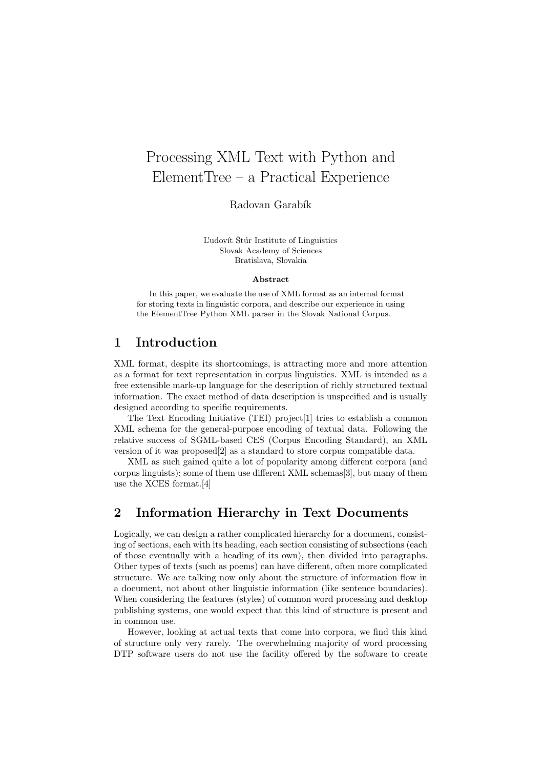# Processing XML Text with Python and ElementTree – a Practical Experience

Radovan Garabík

L'udovít Štúr Institute of Linguistics Slovak Academy of Sciences Bratislava, Slovakia

#### Abstract

In this paper, we evaluate the use of XML format as an internal format for storing texts in linguistic corpora, and describe our experience in using the ElementTree Python XML parser in the Slovak National Corpus.

#### 1 Introduction

XML format, despite its shortcomings, is attracting more and more attention as a format for text representation in corpus linguistics. XML is intended as a free extensible mark-up language for the description of richly structured textual information. The exact method of data description is unspecified and is usually designed according to specific requirements.

The Text Encoding Initiative (TEI) project[1] tries to establish a common XML schema for the general-purpose encoding of textual data. Following the relative success of SGML-based CES (Corpus Encoding Standard), an XML version of it was proposed[2] as a standard to store corpus compatible data.

XML as such gained quite a lot of popularity among different corpora (and corpus linguists); some of them use different XML schemas[3], but many of them use the XCES format.[4]

### 2 Information Hierarchy in Text Documents

Logically, we can design a rather complicated hierarchy for a document, consisting of sections, each with its heading, each section consisting of subsections (each of those eventually with a heading of its own), then divided into paragraphs. Other types of texts (such as poems) can have different, often more complicated structure. We are talking now only about the structure of information flow in a document, not about other linguistic information (like sentence boundaries). When considering the features (styles) of common word processing and desktop publishing systems, one would expect that this kind of structure is present and in common use.

However, looking at actual texts that come into corpora, we find this kind of structure only very rarely. The overwhelming majority of word processing DTP software users do not use the facility offered by the software to create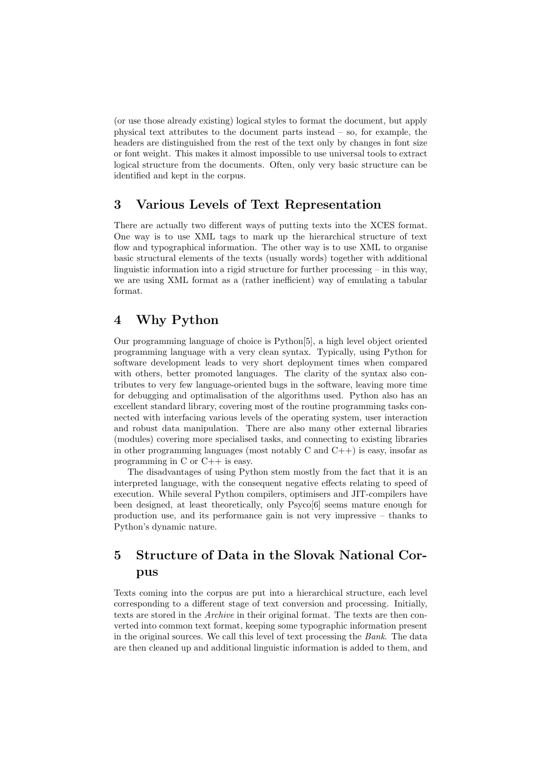(or use those already existing) logical styles to format the document, but apply physical text attributes to the document parts instead – so, for example, the headers are distinguished from the rest of the text only by changes in font size or font weight. This makes it almost impossible to use universal tools to extract logical structure from the documents. Often, only very basic structure can be identified and kept in the corpus.

## 3 Various Levels of Text Representation

There are actually two different ways of putting texts into the XCES format. One way is to use XML tags to mark up the hierarchical structure of text flow and typographical information. The other way is to use XML to organise basic structural elements of the texts (usually words) together with additional linguistic information into a rigid structure for further processing – in this way, we are using XML format as a (rather inefficient) way of emulating a tabular format.

## 4 Why Python

Our programming language of choice is Python[5], a high level object oriented programming language with a very clean syntax. Typically, using Python for software development leads to very short deployment times when compared with others, better promoted languages. The clarity of the syntax also contributes to very few language-oriented bugs in the software, leaving more time for debugging and optimalisation of the algorithms used. Python also has an excellent standard library, covering most of the routine programming tasks connected with interfacing various levels of the operating system, user interaction and robust data manipulation. There are also many other external libraries (modules) covering more specialised tasks, and connecting to existing libraries in other programming languages (most notably C and  $C_{++}$ ) is easy, insofar as programming in C or C++ is easy.

The disadvantages of using Python stem mostly from the fact that it is an interpreted language, with the consequent negative effects relating to speed of execution. While several Python compilers, optimisers and JIT-compilers have been designed, at least theoretically, only Psyco[6] seems mature enough for production use, and its performance gain is not very impressive – thanks to Python's dynamic nature.

## 5 Structure of Data in the Slovak National Corpus

Texts coming into the corpus are put into a hierarchical structure, each level corresponding to a different stage of text conversion and processing. Initially, texts are stored in the Archive in their original format. The texts are then converted into common text format, keeping some typographic information present in the original sources. We call this level of text processing the Bank. The data are then cleaned up and additional linguistic information is added to them, and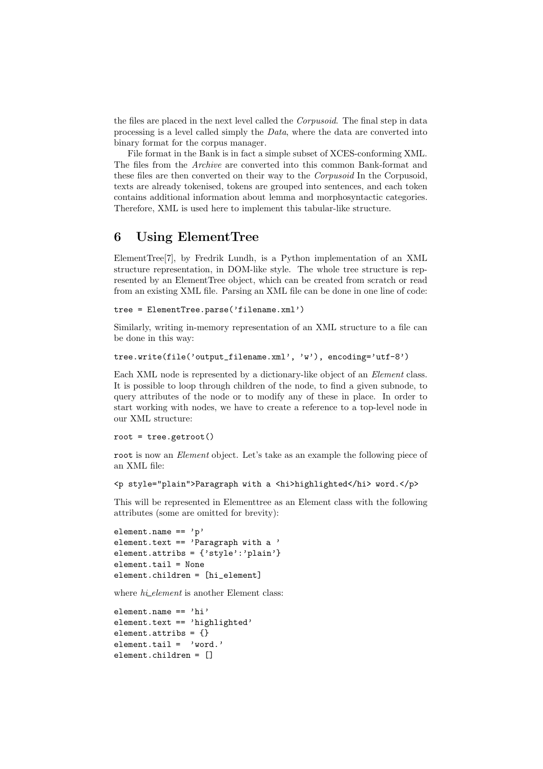the files are placed in the next level called the *Corpusoid*. The final step in data processing is a level called simply the  $Data$ , where the data are converted into binary format for the corpus manager.

File format in the Bank is in fact a simple subset of XCES-conforming XML. The files from the Archive are converted into this common Bank-format and these files are then converted on their way to the *Corpusoid* In the Corpusoid, texts are already tokenised, tokens are grouped into sentences, and each token contains additional information about lemma and morphosyntactic categories. Therefore, XML is used here to implement this tabular-like structure.

#### 6 Using ElementTree

ElementTree[7], by Fredrik Lundh, is a Python implementation of an XML structure representation, in DOM-like style. The whole tree structure is represented by an ElementTree object, which can be created from scratch or read from an existing XML file. Parsing an XML file can be done in one line of code:

```
tree = ElementTree.parse('filename.xml')
```
Similarly, writing in-memory representation of an XML structure to a file can be done in this way:

```
tree.write(file('output_filename.xml', 'w'), encoding='utf-8')
```
Each XML node is represented by a dictionary-like object of an Element class. It is possible to loop through children of the node, to find a given subnode, to query attributes of the node or to modify any of these in place. In order to start working with nodes, we have to create a reference to a top-level node in our XML structure:

```
root = tree.getroot()
```
root is now an *Element* object. Let's take as an example the following piece of an XML file:

```
<p style="plain">Paragraph with a <hi>highlighted</hi> word.</p>
```
This will be represented in Elementtree as an Element class with the following attributes (some are omitted for brevity):

```
element.name == 'p'element.text == 'Paragraph with a '
element.attribs = {'style':'plain'}
element.tail = None
element.children = [hi_element]
```
where  $hi\_element$  is another Element class:

```
element.name == 'hi'
element.text == 'highlighted'
element.attribs = {}
element.tail = 'word.'
element.children = []
```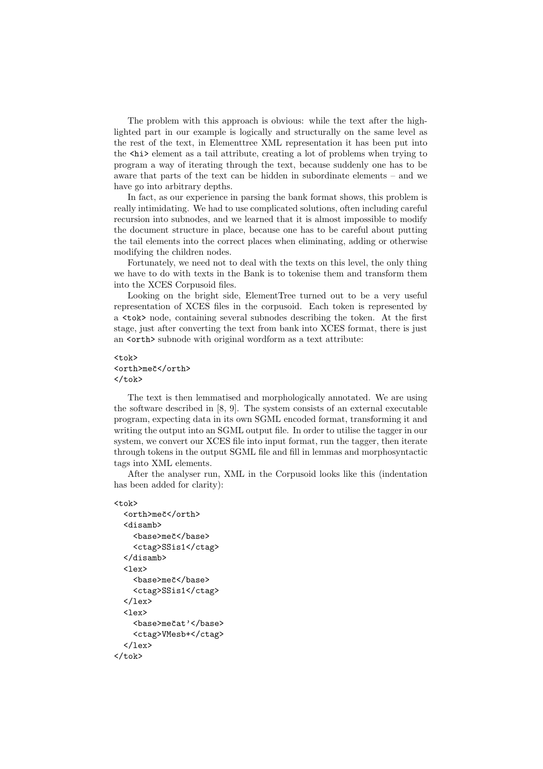The problem with this approach is obvious: while the text after the highlighted part in our example is logically and structurally on the same level as the rest of the text, in Elementtree XML representation it has been put into the  $\langle \text{hi} \rangle$  element as a tail attribute, creating a lot of problems when trying to program a way of iterating through the text, because suddenly one has to be aware that parts of the text can be hidden in subordinate elements – and we have go into arbitrary depths.

In fact, as our experience in parsing the bank format shows, this problem is really intimidating. We had to use complicated solutions, often including careful recursion into subnodes, and we learned that it is almost impossible to modify the document structure in place, because one has to be careful about putting the tail elements into the correct places when eliminating, adding or otherwise modifying the children nodes.

Fortunately, we need not to deal with the texts on this level, the only thing we have to do with texts in the Bank is to tokenise them and transform them into the XCES Corpusoid files.

Looking on the bright side, ElementTree turned out to be a very useful representation of XCES files in the corpusoid. Each token is represented by a <tok> node, containing several subnodes describing the token. At the first stage, just after converting the text from bank into XCES format, there is just an <orth> subnode with original wordform as a text attribute:

#### <tok> <orth>meˇc</orth>  $\langle$ /tok>

The text is then lemmatised and morphologically annotated. We are using the software described in [8, 9]. The system consists of an external executable program, expecting data in its own SGML encoded format, transforming it and writing the output into an SGML output file. In order to utilise the tagger in our system, we convert our XCES file into input format, run the tagger, then iterate through tokens in the output SGML file and fill in lemmas and morphosyntactic tags into XML elements.

After the analyser run, XML in the Corpusoid looks like this (indentation has been added for clarity):

#### $<$ tok $>$

```
<orth>meč</orth>
  <disamb>
     <base>meˇc</base>
     <ctag>SSis1</ctag>
  </disamb>
  \langlelex\rangle<base>meˇc</base>
     <ctag>SSis1</ctag>
  \langlelex\rangle\langlelex\rangle<br/>base>mečat'</base>
     <ctag>VMesb+</ctag>
  \langle/lex\rangle\langle/tok>
```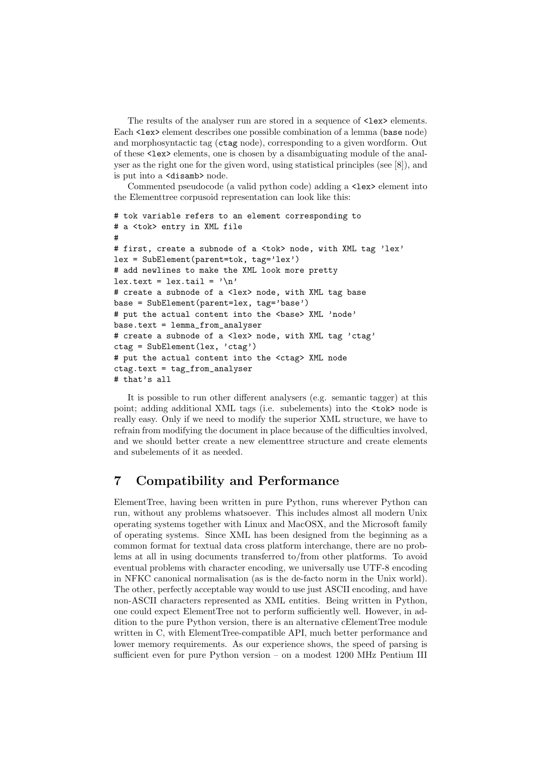The results of the analyser run are stored in a sequence of  $\text{}$  elements. Each <lex> element describes one possible combination of a lemma (base node) and morphosyntactic tag (ctag node), corresponding to a given wordform. Out of these <lex> elements, one is chosen by a disambiguating module of the analyser as the right one for the given word, using statistical principles (see [8]), and is put into a <disamb> node.

Commented pseudocode (a valid python code) adding a  $\leq$  lex> element into the Elementtree corpusoid representation can look like this:

```
# tok variable refers to an element corresponding to
# a <tok> entry in XML file
#
# first, create a subnode of a <tok> node, with XML tag 'lex'
lex = SubElement(parent=tok, tag='lex')
# add newlines to make the XML look more pretty
lex.text = lex.tail = '\n# create a subnode of a <lex> node, with XML tag base
base = SubElement(parent=lex, tag='base')
# put the actual content into the <br/>base> XML 'node'
base.text = lemma_from_analyser
# create a subnode of a <lex> node, with XML tag 'ctag'
ctag = SubElement(lex, 'ctag')
# put the actual content into the <ctag> XML node
ctag.text = tag_from_analyser
# that's all
```
It is possible to run other different analysers (e.g. semantic tagger) at this point; adding additional XML tags (i.e. subelements) into the <tok> node is really easy. Only if we need to modify the superior XML structure, we have to refrain from modifying the document in place because of the difficulties involved, and we should better create a new elementtree structure and create elements and subelements of it as needed.

#### 7 Compatibility and Performance

ElementTree, having been written in pure Python, runs wherever Python can run, without any problems whatsoever. This includes almost all modern Unix operating systems together with Linux and MacOSX, and the Microsoft family of operating systems. Since XML has been designed from the beginning as a common format for textual data cross platform interchange, there are no problems at all in using documents transferred to/from other platforms. To avoid eventual problems with character encoding, we universally use UTF-8 encoding in NFKC canonical normalisation (as is the de-facto norm in the Unix world). The other, perfectly acceptable way would to use just ASCII encoding, and have non-ASCII characters represented as XML entities. Being written in Python, one could expect ElementTree not to perform sufficiently well. However, in addition to the pure Python version, there is an alternative cElementTree module written in C, with ElementTree-compatible API, much better performance and lower memory requirements. As our experience shows, the speed of parsing is sufficient even for pure Python version – on a modest 1200 MHz Pentium III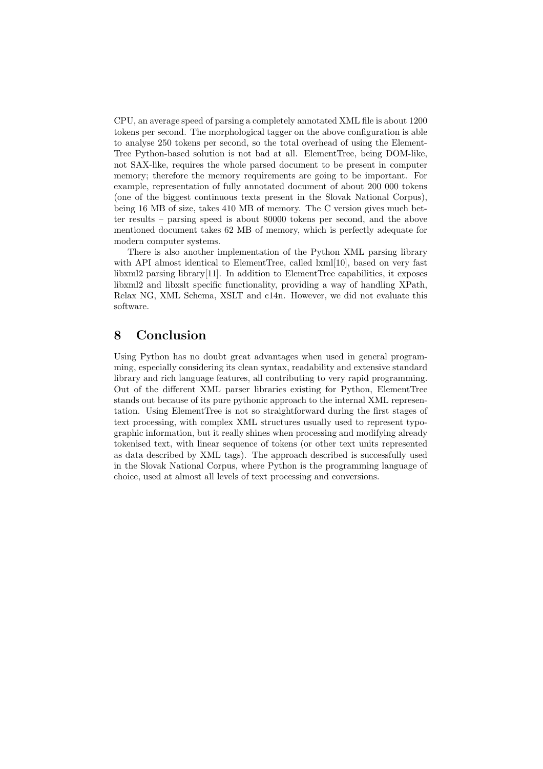CPU, an average speed of parsing a completely annotated XML file is about 1200 tokens per second. The morphological tagger on the above configuration is able to analyse 250 tokens per second, so the total overhead of using the Element-Tree Python-based solution is not bad at all. ElementTree, being DOM-like, not SAX-like, requires the whole parsed document to be present in computer memory; therefore the memory requirements are going to be important. For example, representation of fully annotated document of about 200 000 tokens (one of the biggest continuous texts present in the Slovak National Corpus), being 16 MB of size, takes 410 MB of memory. The C version gives much better results – parsing speed is about 80000 tokens per second, and the above mentioned document takes 62 MB of memory, which is perfectly adequate for modern computer systems.

There is also another implementation of the Python XML parsing library with API almost identical to ElementTree, called  $\text{lxml}[10]$ , based on very fast libxml2 parsing library[11]. In addition to ElementTree capabilities, it exposes libxml2 and libxslt specific functionality, providing a way of handling XPath, Relax NG, XML Schema, XSLT and c14n. However, we did not evaluate this software.

## 8 Conclusion

Using Python has no doubt great advantages when used in general programming, especially considering its clean syntax, readability and extensive standard library and rich language features, all contributing to very rapid programming. Out of the different XML parser libraries existing for Python, ElementTree stands out because of its pure pythonic approach to the internal XML representation. Using ElementTree is not so straightforward during the first stages of text processing, with complex XML structures usually used to represent typographic information, but it really shines when processing and modifying already tokenised text, with linear sequence of tokens (or other text units represented as data described by XML tags). The approach described is successfully used in the Slovak National Corpus, where Python is the programming language of choice, used at almost all levels of text processing and conversions.